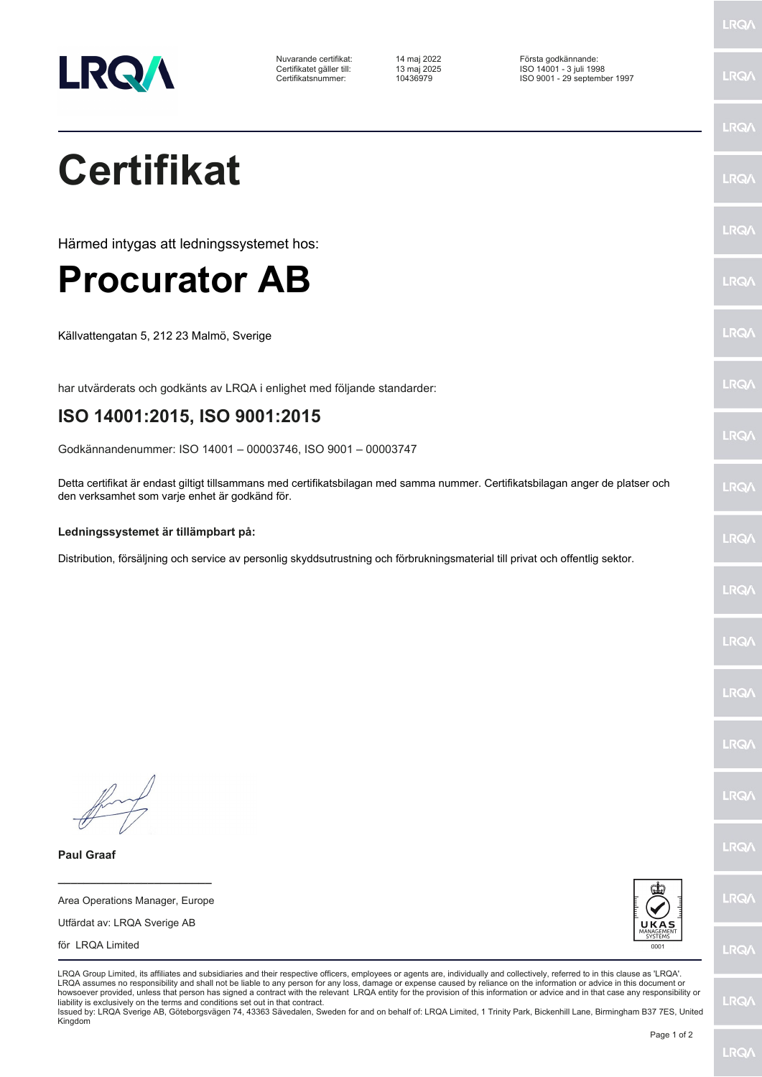

Nuvarande certifikat: 14 maj 2022 Första godkännande: Certifikatet gäller till: 13 maj 2025 ISO 14001 - 3 juli 1998 Certifikatsnummer: 10436979 ISO 9001 - 29 september 1997

**Certifikat**

Härmed intygas att ledningssystemet hos:

## **Procurator AB**

Källvattengatan 5, 212 23 Malmö, Sverige

har utvärderats och godkänts av LRQA i enlighet med följande standarder:

## **ISO 14001:2015, ISO 9001:2015**

Godkännandenummer: ISO 14001 – 00003746, ISO 9001 – 00003747

Detta certifikat är endast giltigt tillsammans med certifikatsbilagan med samma nummer. Certifikatsbilagan anger de platser och den verksamhet som varje enhet är godkänd för.

## **Ledningssystemet är tillämpbart på:**

Distribution, försäljning och service av personlig skyddsutrustning och förbrukningsmaterial till privat och offentlig sektor.

**Paul Graaf**

Area Operations Manager, Europe Utfärdat av: LRQA Sverige AB

**\_\_\_\_\_\_\_\_\_\_\_\_\_\_\_\_\_\_\_\_\_\_\_\_**





LRQA Group Limited, its affiliates and subsidiaries and their respective officers, employees or agents are, individually and collectively, referred to in this clause as 'LRQA'. LRQA assumes no responsibility and shall not be liable to any person for any loss, damage or expense caused by reliance on the information or advice in this document or howsoever provided, unless that person has signed a contract with the relevant LRQA entity for the provision of this information or advice and in that case any responsibility or<br>liability is exclusively on the terms and co

Issued by: LRQA Sverige AB, Göteborgsvägen 74, 43363 Sävedalen, Sweden for and on behalf of: LRQA Limited, 1 Trinity Park, Bickenhill Lane, Birmingham B37 7ES, United Kingdom

LRQ/

LRQ/

LRQ/

LRQ/

LRQ/

LRQ/

LRQ/

LRQ/

**LRO** 

LRQ/

LRQ/

LRQ/

LRQ/

LRQ/

**IRQA** 

LRQ/

LRQ/

**LRQ/** 

LRQ/